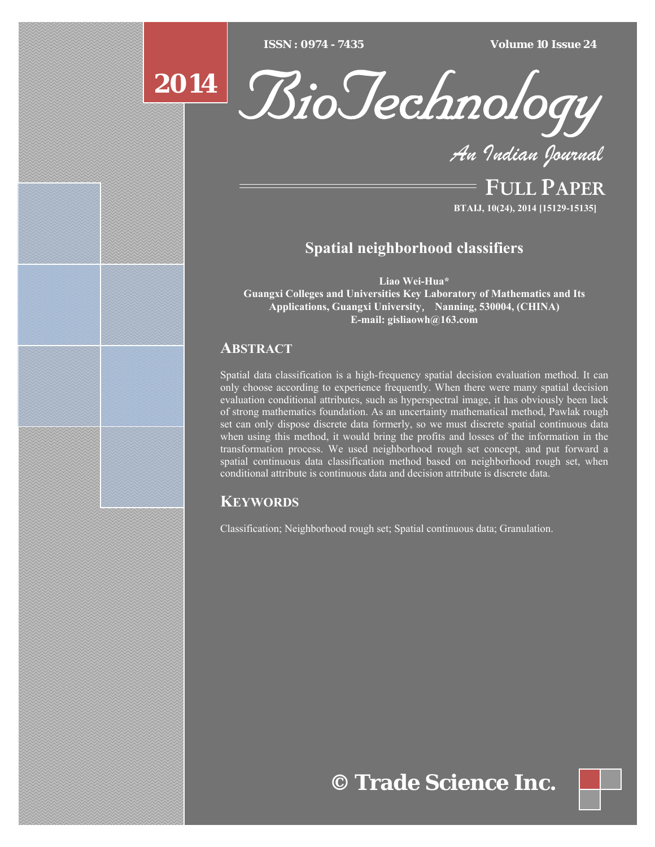[Type text] [Type text] [Type text] *ISSN : 0974 - 7435 Volume 10 Issue 24*

# **2014**



*An Indian Journal*

FULL PAPER **BTAIJ, 10(24), 2014 [15129-15135]**

# **Spatial neighborhood classifiers**

**Liao Wei-Hua\* Guangxi Colleges and Universities Key Laboratory of Mathematics and Its Applications, Guangxi University**, **Nanning, 530004, (CHINA) E-mail: gisliaowh@163.com** 

# **ABSTRACT**

Spatial data classification is a high-frequency spatial decision evaluation method. It can only choose according to experience frequently. When there were many spatial decision evaluation conditional attributes, such as hyperspectral image, it has obviously been lack of strong mathematics foundation. As an uncertainty mathematical method, Pawlak rough set can only dispose discrete data formerly, so we must discrete spatial continuous data when using this method, it would bring the profits and losses of the information in the transformation process. We used neighborhood rough set concept, and put forward a spatial continuous data classification method based on neighborhood rough set, when conditional attribute is continuous data and decision attribute is discrete data.

# **KEYWORDS**

Classification; Neighborhood rough set; Spatial continuous data; Granulation.

# **© Trade Science Inc.**

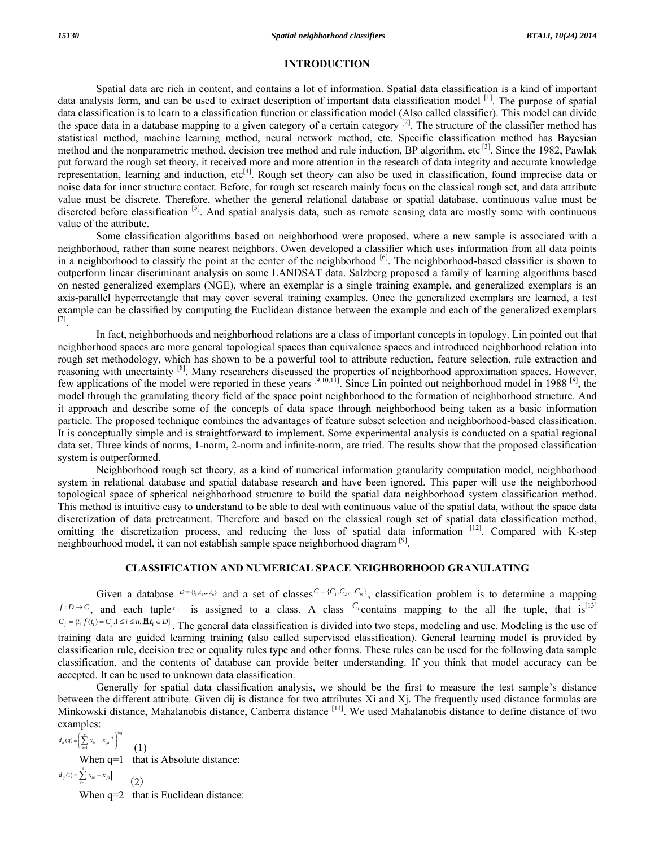### **INTRODUCTION**

 Spatial data are rich in content, and contains a lot of information. Spatial data classification is a kind of important data analysis form, and can be used to extract description of important data classification model [1]. The purpose of spatial data classification is to learn to a classification function or classification model (Also called classifier). This model can divide the space data in a database mapping to a given category of a certain category  $[2]$ . The structure of the classifier method has statistical method, machine learning method, neural network method, etc. Specific classification method has Bayesian method and the nonparametric method, decision tree method and rule induction, BP algorithm, etc  $^{[3]}$ . Since the 1982, Pawlak put forward the rough set theory, it received more and more attention in the research of data integrity and accurate knowledge representation, learning and induction,  $etc^{[4]}$ . Rough set theory can also be used in classification, found imprecise data or noise data for inner structure contact. Before, for rough set research mainly focus on the classical rough set, and data attribute value must be discrete. Therefore, whether the general relational database or spatial database, continuous value must be discreted before classification <sup>[5]</sup>. And spatial analysis data, such as remote sensing data are mostly some with continuous value of the attribute.

 Some classification algorithms based on neighborhood were proposed, where a new sample is associated with a neighborhood, rather than some nearest neighbors. Owen developed a classifier which uses information from all data points in a neighborhood to classify the point at the center of the neighborhood [6]. The neighborhood-based classifier is shown to outperform linear discriminant analysis on some LANDSAT data. Salzberg proposed a family of learning algorithms based on nested generalized exemplars (NGE), where an exemplar is a single training example, and generalized exemplars is an axis-parallel hyperrectangle that may cover several training examples. Once the generalized exemplars are learned, a test example can be classified by computing the Euclidean distance between the example and each of the generalized exemplars [7].

 In fact, neighborhoods and neighborhood relations are a class of important concepts in topology. Lin pointed out that neighborhood spaces are more general topological spaces than equivalence spaces and introduced neighborhood relation into rough set methodology, which has shown to be a powerful tool to attribute reduction, feature selection, rule extraction and reasoning with uncertainty [8]. Many researchers discussed the properties of neighborhood approximation spaces. However, few applications of the model were reported in these years [9,10,11]. Since Lin pointed out neighborhood model in 1988 [8], the model through the granulating theory field of the space point neighborhood to the formation of neighborhood structure. And it approach and describe some of the concepts of data space through neighborhood being taken as a basic information particle. The proposed technique combines the advantages of feature subset selection and neighborhood-based classification. It is conceptually simple and is straightforward to implement. Some experimental analysis is conducted on a spatial regional data set. Three kinds of norms, 1-norm, 2-norm and infinite-norm, are tried. The results show that the proposed classification system is outperformed.

 Neighborhood rough set theory, as a kind of numerical information granularity computation model, neighborhood system in relational database and spatial database research and have been ignored. This paper will use the neighborhood topological space of spherical neighborhood structure to build the spatial data neighborhood system classification method. This method is intuitive easy to understand to be able to deal with continuous value of the spatial data, without the space data discretization of data pretreatment. Therefore and based on the classical rough set of spatial data classification method, omitting the discretization process, and reducing the loss of spatial data information [12]. Compared with K-step neighbourhood model, it can not establish sample space neighborhood diagram  $^{[9]}$ .

## **CLASSIFICATION AND NUMERICAL SPACE NEIGHBORHOOD GRANULATING**

Given a database  $D = \{t_1, t_2, \ldots, t_n\}$  and a set of classes  $C = \{C_1, C_2, \ldots, C_m\}$ , classification problem is to determine a mapping  $f: D \to C$ , and each tuple *i* is assigned to a class. A class  $C_i$  contains mapping to the all the tuple, that is<sup>[13]</sup>  $C_i = \{t_i | f(t_i) = C_j, 1 \le i \le n, \mathbb{E}t_i \in D\}$ . The general data classification is divided into two steps, modeling and use. Modeling is the use of training data are guided learning training (also called supervised classification). General learning model is provided by classification rule, decision tree or equality rules type and other forms. These rules can be used for the following data sample classification, and the contents of database can provide better understanding. If you think that model accuracy can be accepted. It can be used to unknown data classification.

 Generally for spatial data classification analysis, we should be the first to measure the test sample's distance between the different attribute. Given dij is distance for two attributes Xi and Xj. The frequently used distance formulas are Minkowski distance, Mahalanobis distance, Canberra distance [14]. We used Mahalanobis distance to define distance of two examples: 1

$$
d_{ij}(q) = \left(\sum_{a=1}^p \left|x_{ia} - x_{ja}\right|^q\right)^{1/q} \tag{1}
$$

When  $q=1$  that is Absolute distance:  $=\sum_{a=1}^{p} x_{ia}$  –  $d_{ij}(1) = \sum_{a=1}^{\infty} |x_{ia} - x_{ja}|$  $(2)$ 

When  $q=2$  that is Euclidean distance: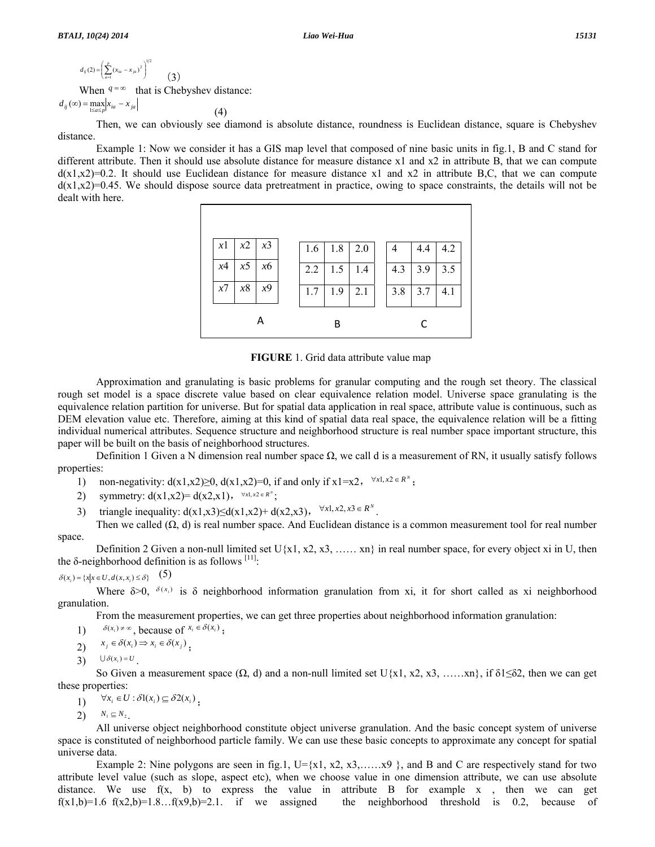$$
d_{ij}(2) = \left(\sum_{a=1}^{p} (x_{ia} - x_{ja})^2\right)^{1/2}
$$
\n(3)  
\nWhen  $q = \infty$  that is Chebyshev distance:

 $d_{ij}(\infty) = \max_{1 \leq a \leq p} |x_{ia} - x_{ja}|$ (4)

 Then, we can obviously see diamond is absolute distance, roundness is Euclidean distance, square is Chebyshev distance.

 Example 1: Now we consider it has a GIS map level that composed of nine basic units in fig.1, B and C stand for different attribute. Then it should use absolute distance for measure distance x1 and x2 in attribute B, that we can compute  $d(x1,x2)=0.2$ . It should use Euclidean distance for measure distance x1 and x2 in attribute B,C, that we can compute  $d(x_1,x_2)=0.45$ . We should dispose source data pretreatment in practice, owing to space constraints, the details will not be dealt with here.



**FIGURE** 1. Grid data attribute value map

 Approximation and granulating is basic problems for granular computing and the rough set theory. The classical rough set model is a space discrete value based on clear equivalence relation model. Universe space granulating is the equivalence relation partition for universe. But for spatial data application in real space, attribute value is continuous, such as DEM elevation value etc. Therefore, aiming at this kind of spatial data real space, the equivalence relation will be a fitting individual numerical attributes. Sequence structure and neighborhood structure is real number space important structure, this paper will be built on the basis of neighborhood structures.

Definition 1 Given a N dimension real number space  $\Omega$ , we call d is a measurement of RN, it usually satisfy follows properties:

- 1) non-negativity:  $d(x1,x2) \ge 0$ ,  $d(x1,x2)=0$ , if and only if  $x1=x2$ ,  $\forall x1, x2 \in R^N$ ;
- 2) symmetry:  $d(x1,x2)=d(x2,x1)$ ,  $\forall x1, x2 \in R^x$ ;
- 3) triangle inequality:  $d(x1,x3) \le d(x1,x2) + d(x2,x3)$ ,  $\forall x1, x2, x3 \in R^N$ .
- Then we called  $(\Omega, d)$  is real number space. And Euclidean distance is a common measurement tool for real number space.

Definition 2 Given a non-null limited set  $U\{x1, x2, x3, \ldots, xn\}$  in real number space, for every object xi in U, then the  $\delta$ -neighborhood definition is as follows  $[11]$ :

$$
\delta(x_i) = \{x \mid x \in U, d(x, x_i) \le \delta\} \quad (5)
$$

Where  $\delta > 0$ ,  $\delta(x_i)$  is  $\delta$  neighborhood information granulation from xi, it for short called as xi neighborhood granulation.

From the measurement properties, we can get three properties about neighborhood information granulation:

- 1)  $\delta(x_i) \neq \infty$ , because of  $x_i \in \delta(x_i)$ ;
- 2)  $x_j \in \delta(x_i) \Rightarrow x_i \in \delta(x_j)$ ;
- $\bigcup \delta(x_i) = U$

So Given a measurement space  $(\Omega, d)$  and a non-null limited set U{x1, x2, x3, ……xn}, if  $\delta 1 \leq \delta 2$ , then we can get these properties:

1)  $\forall x_i \in U : \delta l(x_i) \subseteq \delta 2(x_i)$ 

2)  $N_1 \subseteq N_2$ .

 All universe object neighborhood constitute object universe granulation. And the basic concept system of universe space is constituted of neighborhood particle family. We can use these basic concepts to approximate any concept for spatial universe data.

Example 2: Nine polygons are seen in fig.1,  $U = \{x1, x2, x3, \ldots \}$ , and B and C are respectively stand for two attribute level value (such as slope, aspect etc), when we choose value in one dimension attribute, we can use absolute distance. We use  $f(x, b)$  to express the value in attribute B for example x, then we can get  $f(x1,b)=1.6 f(x2,b)=1.8...f(x9,b)=2.1.$  if we assigned the neighborhood threshold is 0.2, because of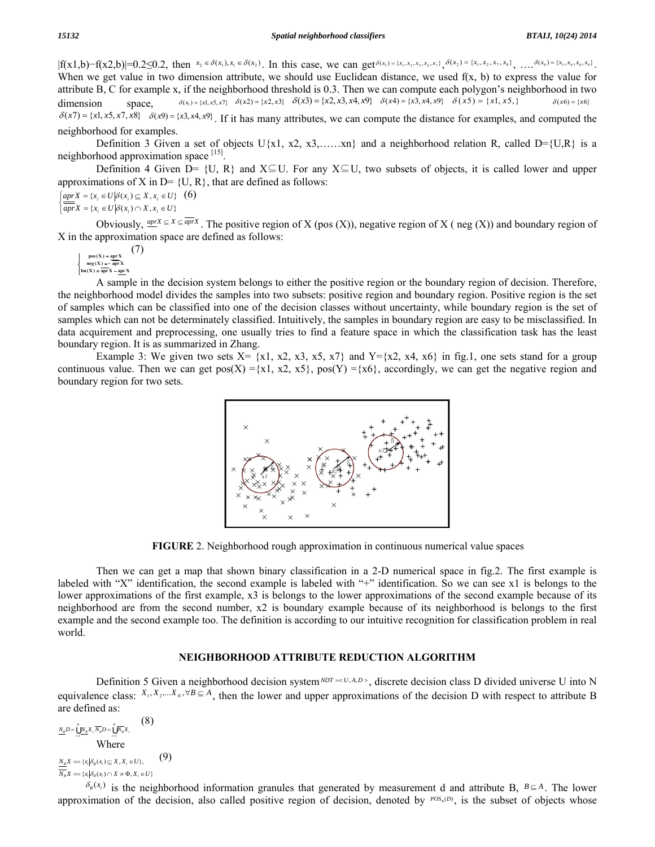$|f(x1,b)-f(x2,b)|=0.2\le 0.2$ , then  $x_2 \in \delta(x_1), x_1 \in \delta(x_2)$ . In this case, we can get  $\delta(x_1) = \{x_1, x_2, x_3, x_6, x_7\}$ ,  $\delta(x_2) = \{x_1, x_2, x_7, x_8\}$ , ...,  $\delta(x_9) = \{x_3, x_4, x_8, x_9\}$ . When we get value in two dimension attribute, we should use Euclidean distance, we used  $f(x, b)$  to express the value for attribute B, C for example x, if the neighborhood threshold is 0.3. Then we can compute each polygon's neighborhood in two dimension space,  $\delta(x_1) = \{x1, x5, x7\}$   $\delta(x2) = \{x2, x3\}$   $\delta(x3) = \{x2, x3, x4, x9\}$   $\delta(x4) = \{x3, x4, x9\}$   $\delta(x5) = \{x1, x5, \}$   $\delta(x6) = \{x6\}$  $\delta(x7) = \{x1, x5, x7, x8\}$   $\delta(x9) = \{x3, x4, x9\}$ . If it has many attributes, we can compute the distance for examples, and computed the

neighborhood for examples. Definition 3 Given a set of objects  $U{x1, x2, x3, \ldots, xn}$  and a neighborhood relation R, called D={U,R} is a

neighborhood approximation space  $[15]$ .

 Definition 4 Given D= {U, R} and X⊆U. For any X⊆U, two subsets of objects, it is called lower and upper approximations of X in  $D = \{U, R\}$ , that are defined as follows:

 $\overline{\overline{apr}}X = \{x_i \in U \mid \delta(x_i) \cap X, x_i \in U\}$  $\int aprX = \{x_i \in U | \delta(x_i) \subseteq X, x_i \in U\}$  (6)

Obviously,  $\frac{aprX}{r} \subseteq X \subseteq \overline{aprX}$ . The positive region of X (pos (X)), negative region of X (neg (X)) and boundary region of X in the approximation space are defined as follows:

$$
\begin{cases}\n\text{pos}(X) = \underbrace{\text{apr}}_{\text{neg}(X)} (7) \\
\text{neg}(X) = \overline{\text{apr}}_{X} \\
\text{bn}(X) = \overline{\text{apr}}_{X} - \underbrace{\text{apr}}_{X} \\
\end{cases}
$$

 A sample in the decision system belongs to either the positive region or the boundary region of decision. Therefore, the neighborhood model divides the samples into two subsets: positive region and boundary region. Positive region is the set of samples which can be classified into one of the decision classes without uncertainty, while boundary region is the set of samples which can not be determinately classified. Intuitively, the samples in boundary region are easy to be misclassified. In data acquirement and preprocessing, one usually tries to find a feature space in which the classification task has the least boundary region. It is as summarized in Zhang.

Example 3: We given two sets  $X = \{x1, x2, x3, x5, x7\}$  and  $Y=\{x2, x4, x6\}$  in fig.1, one sets stand for a group continuous value. Then we can get pos(X) ={x1, x2, x5}, pos(Y) ={x6}, accordingly, we can get the negative region and boundary region for two sets.

**FIGURE** 2. Neighborhood rough approximation in continuous numerical value spaces

 Then we can get a map that shown binary classification in a 2-D numerical space in fig.2. The first example is labeled with "Х" identification, the second example is labeled with "+" identification. So we can see x1 is belongs to the lower approximations of the first example, x3 is belongs to the lower approximations of the second example because of its neighborhood are from the second number, x2 is boundary example because of its neighborhood is belongs to the first example and the second example too. The definition is according to our intuitive recognition for classification problem in real world.

### **NEIGHBORHOOD ATTRIBUTE REDUCTION ALGORITHM**

Definition 5 Given a neighborhood decision system  $NDT = \langle U, A, D \rangle$ , discrete decision class D divided universe U into N equivalence class:  $X_1, X_2, \ldots, X_N, \forall B \subseteq A$ , then the lower and upper approximations of the decision D with respect to attribute B are defined as:

$$
\frac{N_B D}{N_B} = \prod_{i=1}^{N} X_i, \overline{N_B} D = \prod_{i=1}^{N} \overline{N_B} X_i
$$
 (8)

 $N_B X = \{ x_i | \delta_B(x_i) \cap X \neq \Phi, X_i \in U \}$  $N_{B}X = \{x_{i} | \delta_{B}(x_{i}) \subseteq X, X_{i} \in U\},$  (9)

 $\delta_B(x_i)$  is the neighborhood information granules that generated by measurement d and attribute B,  $B \subseteq A$ . The lower approximation of the decision, also called positive region of decision, denoted by *POS*<sub>*B*</sub>(*D*), is the subset of objects whose

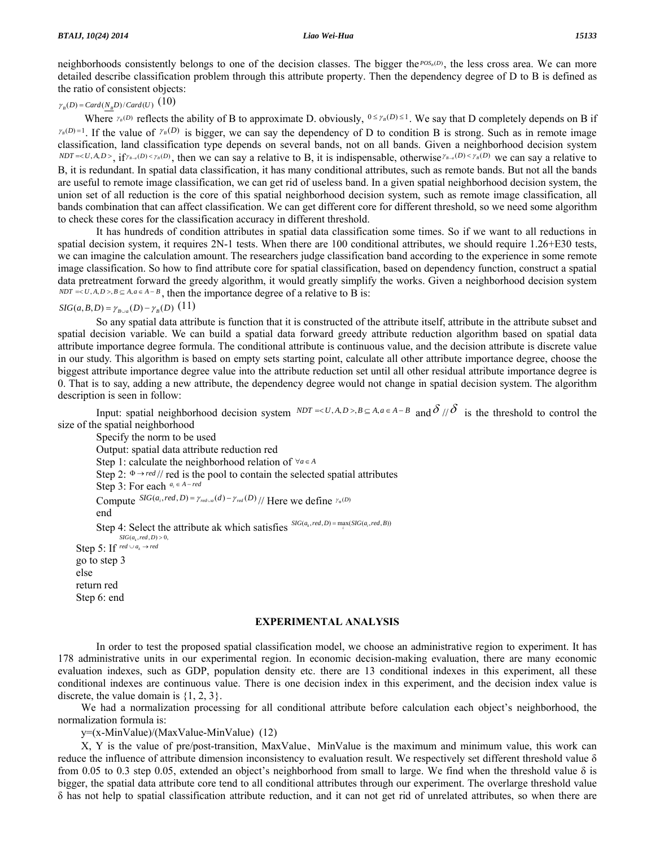neighborhoods consistently belongs to one of the decision classes. The bigger the *POS*<sub>B</sub>(D), the less cross area. We can more detailed describe classification problem through this attribute property. Then the dependency degree of D to B is defined as the ratio of consistent objects:

# $\gamma_p(D) = \frac{Card(N_pD)}{Card(U)}$  (10)

Where  $\gamma_B(D)$  reflects the ability of B to approximate D. obviously,  $0 \le \gamma_B(D) \le 1$ . We say that D completely depends on B if  $\gamma_B(D)=1$ . If the value of  $\gamma_B(D)$  is bigger, we can say the dependency of D to condition B is strong. Such as in remote image classification, land classification type depends on several bands, not on all bands. Given a neighborhood decision system  $NDT=$ , if  $\gamma_{B-a}(D) < \gamma_B(D)$ , then we can say a relative to B, it is indispensable, otherwise  $\gamma_{B-a}(D) < \gamma_B(D)$  we can say a relative to B, it is redundant. In spatial data classification, it has many conditional attributes, such as remote bands. But not all the bands are useful to remote image classification, we can get rid of useless band. In a given spatial neighborhood decision system, the union set of all reduction is the core of this spatial neighborhood decision system, such as remote image classification, all bands combination that can affect classification. We can get different core for different threshold, so we need some algorithm to check these cores for the classification accuracy in different threshold.

 It has hundreds of condition attributes in spatial data classification some times. So if we want to all reductions in spatial decision system, it requires 2N-1 tests. When there are 100 conditional attributes, we should require 1.26+E30 tests, we can imagine the calculation amount. The researchers judge classification band according to the experience in some remote image classification. So how to find attribute core for spatial classification, based on dependency function, construct a spatial data pretreatment forward the greedy algorithm, it would greatly simplify the works. Given a neighborhood decision system  $NDT = < U, A, D>, B \subseteq A, a \in A - B$ , then the importance degree of a relative to B is:

# *SIG*(*a*,*B*,*D*) =  $\gamma_{B \cup a}(D) - \gamma_{B}(D)$  (11)

 So any spatial data attribute is function that it is constructed of the attribute itself, attribute in the attribute subset and spatial decision variable. We can build a spatial data forward greedy attribute reduction algorithm based on spatial data attribute importance degree formula. The conditional attribute is continuous value, and the decision attribute is discrete value in our study. This algorithm is based on empty sets starting point, calculate all other attribute importance degree, choose the biggest attribute importance degree value into the attribute reduction set until all other residual attribute importance degree is 0. That is to say, adding a new attribute, the dependency degree would not change in spatial decision system. The algorithm description is seen in follow:

Input: spatial neighborhood decision system  $NDT = \langle U, A, D \rangle, B \subseteq A, a \in A - B$  and  $\delta / \delta$  is the threshold to control the size of the spatial neighborhood

 Specify the norm to be used Output: spatial data attribute reduction red Step 1: calculate the neighborhood relation of <sup>∀</sup>*a*<sup>∈</sup> *<sup>A</sup>* Step 2:  $\Phi \rightarrow \text{red}$  // red is the pool to contain the selected spatial attributes Step 3: For each *ai* <sup>∈</sup> *<sup>A</sup>* <sup>−</sup> *red* Compute  ${}^{SIG(a_i, red, D) = \gamma_{red}(d) - \gamma_{red}(D)}$  // Here we define  $\gamma_*(D)$  end Step 4: Select the attribute ak which satisfies  ${}^{SIG(a_k, red, D) = \max_i (SIG(a_i, red, B))}$ Step 5: If  $\text{red} \cup a_k \rightarrow \text{red}$  $SIG(a_k, red, D) > 0$ , go to step 3 else return red Step 6: end

### **EXPERIMENTAL ANALYSIS**

 In order to test the proposed spatial classification model, we choose an administrative region to experiment. It has 178 administrative units in our experimental region. In economic decision-making evaluation, there are many economic evaluation indexes, such as GDP, population density etc. there are 13 conditional indexes in this experiment, all these conditional indexes are continuous value. There is one decision index in this experiment, and the decision index value is discrete, the value domain is  $\{1, 2, 3\}$ .

We had a normalization processing for all conditional attribute before calculation each object's neighborhood, the normalization formula is:

y=(x-MinValue)/(MaxValue-MinValue) (12)

X, Y is the value of pre/post-transition, MaxValue、MinValue is the maximum and minimum value, this work can reduce the influence of attribute dimension inconsistency to evaluation result. We respectively set different threshold value  $\delta$ from 0.05 to 0.3 step 0.05, extended an object's neighborhood from small to large. We find when the threshold value  $\delta$  is bigger, the spatial data attribute core tend to all conditional attributes through our experiment. The overlarge threshold value δ has not help to spatial classification attribute reduction, and it can not get rid of unrelated attributes, so when there are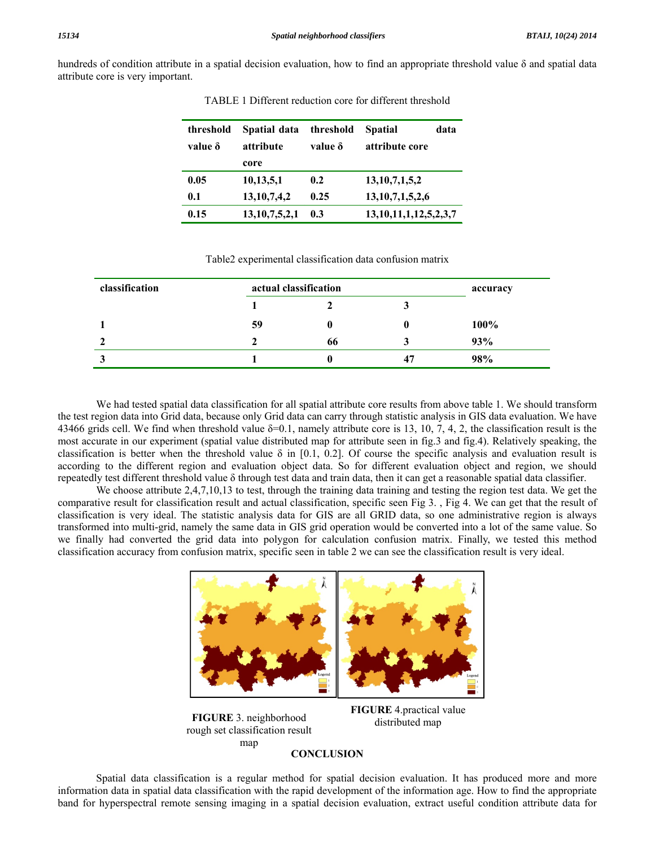hundreds of condition attribute in a spatial decision evaluation, how to find an appropriate threshold value δ and spatial data attribute core is very important.

| threshold<br>value $\delta$ | Spatial data<br>attribute<br>core | threshold<br>value δ | <b>Spatial</b><br>data<br>attribute core |  |
|-----------------------------|-----------------------------------|----------------------|------------------------------------------|--|
| 0.05                        | 10,13,5,1                         | 0.2                  | 13,10,7,1,5,2                            |  |
| 0.1                         | 13, 10, 7, 4, 2                   | 0.25                 | 13, 10, 7, 1, 5, 2, 6                    |  |
| 0.15                        | 13,10,7,5,2,1                     | 0.3                  | 13, 10, 11, 1, 12, 5, 2, 3, 7            |  |

TABLE 1 Different reduction core for different threshold

### Table2 experimental classification data confusion matrix

| classification | actual classification |    |    |      |  |
|----------------|-----------------------|----|----|------|--|
|                |                       |    |    |      |  |
|                | 59                    | o  |    | 100% |  |
|                |                       | 66 |    | 93%  |  |
| لہ             |                       | u  | 47 | 98%  |  |

 We had tested spatial data classification for all spatial attribute core results from above table 1. We should transform the test region data into Grid data, because only Grid data can carry through statistic analysis in GIS data evaluation. We have 43466 grids cell. We find when threshold value  $\delta$ =0.1, namely attribute core is 13, 10, 7, 4, 2, the classification result is the most accurate in our experiment (spatial value distributed map for attribute seen in fig.3 and fig.4). Relatively speaking, the classification is better when the threshold value  $\delta$  in [0.1, 0.2]. Of course the specific analysis and evaluation result is according to the different region and evaluation object data. So for different evaluation object and region, we should repeatedly test different threshold value δ through test data and train data, then it can get a reasonable spatial data classifier.

We choose attribute 2,4,7,10,13 to test, through the training data training and testing the region test data. We get the comparative result for classification result and actual classification, specific seen Fig 3. , Fig 4. We can get that the result of classification is very ideal. The statistic analysis data for GIS are all GRID data, so one administrative region is always transformed into multi-grid, namely the same data in GIS grid operation would be converted into a lot of the same value. So we finally had converted the grid data into polygon for calculation confusion matrix. Finally, we tested this method classification accuracy from confusion matrix, specific seen in table 2 we can see the classification result is very ideal.



**FIGURE** 3. neighborhood rough set classification result map

**FIGURE** 4.practical value distributed map

## **CONCLUSION**

 Spatial data classification is a regular method for spatial decision evaluation. It has produced more and more information data in spatial data classification with the rapid development of the information age. How to find the appropriate band for hyperspectral remote sensing imaging in a spatial decision evaluation, extract useful condition attribute data for